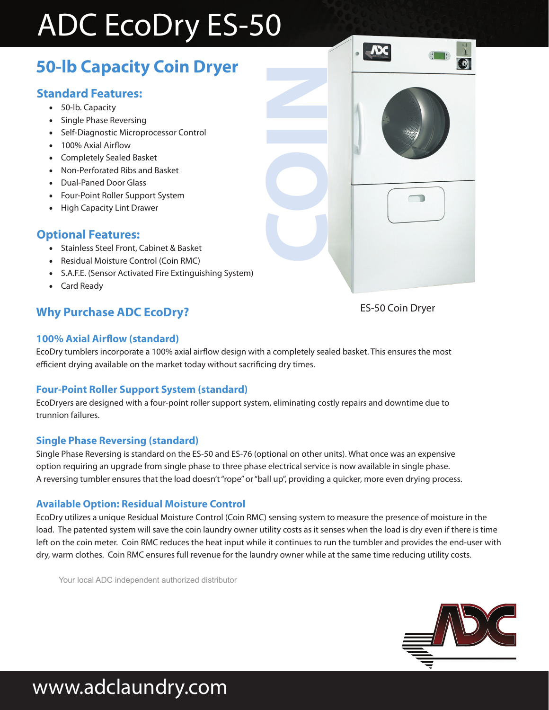# ADC EcoDry ES-50

## **50-lb Capacity Coin Dryer**

### **Standard Features:**

- 50-lb. Capacity
- Single Phase Reversing
- Self-Diagnostic Microprocessor Control
- 100% Axial Airflow
- Completely Sealed Basket
- Non-Perforated Ribs and Basket
- Dual-Paned Door Glass
- Four-Point Roller Support System
- High Capacity Lint Drawer

#### **Optional Features:**

- Stainless Steel Front, Cabinet & Basket
- Residual Moisture Control (Coin RMC)
- S.A.F.E. (Sensor Activated Fire Extinguishing System)
- Card Ready

### **Why Purchase ADC EcoDry?** ES-50 Coin Dryer

#### **100% Axial Airflow (standard)**

EcoDry tumblers incorporate a 100% axial airflow design with a completely sealed basket. This ensures the most efficient drying available on the market today without sacrificing dry times.

**COIN**

#### **Four-Point Roller Support System (standard)**

EcoDryers are designed with a four-point roller support system, eliminating costly repairs and downtime due to trunnion failures.

#### **Single Phase Reversing (standard)**

Single Phase Reversing is standard on the ES-50 and ES-76 (optional on other units). What once was an expensive option requiring an upgrade from single phase to three phase electrical service is now available in single phase. A reversing tumbler ensures that the load doesn't "rope" or "ball up", providing a quicker, more even drying process.

#### **Available Option: Residual Moisture Control**

EcoDry utilizes a unique Residual Moisture Control (Coin RMC) sensing system to measure the presence of moisture in the load. The patented system will save the coin laundry owner utility costs as it senses when the load is dry even if there is time left on the coin meter. Coin RMC reduces the heat input while it continues to run the tumbler and provides the end-user with dry, warm clothes. Coin RMC ensures full revenue for the laundry owner while at the same time reducing utility costs.

Your local ADC independent authorized distributor



## www.adclaundry.com